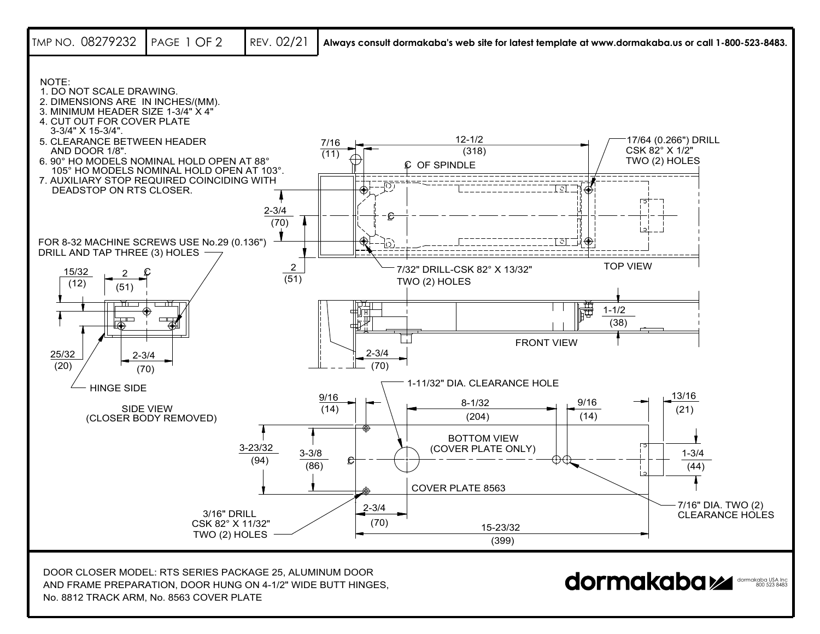

No. 8812 TRACK ARM, No. 8563 COVER PLATE